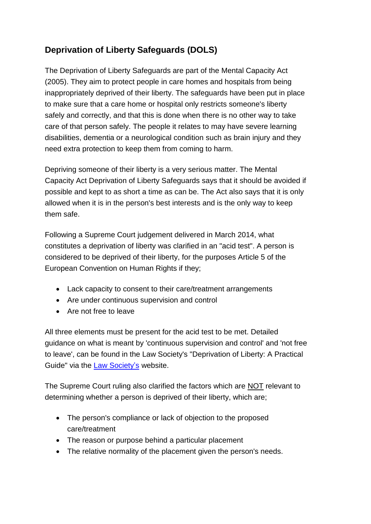## **Deprivation of Liberty Safeguards (DOLS)**

The Deprivation of Liberty Safeguards are part of the Mental Capacity Act (2005). They aim to protect people in care homes and hospitals from being inappropriately deprived of their liberty. The safeguards have been put in place to make sure that a care home or hospital only restricts someone's liberty safely and correctly, and that this is done when there is no other way to take care of that person safely. The people it relates to may have severe learning disabilities, dementia or a neurological condition such as brain injury and they need extra protection to keep them from coming to harm.

Depriving someone of their liberty is a very serious matter. The Mental Capacity Act Deprivation of Liberty Safeguards says that it should be avoided if possible and kept to as short a time as can be. The Act also says that it is only allowed when it is in the person's best interests and is the only way to keep them safe.

Following a Supreme Court judgement delivered in March 2014, what constitutes a deprivation of liberty was clarified in an "acid test". A person is considered to be deprived of their liberty, for the purposes Article 5 of the European Convention on Human Rights if they;

- Lack capacity to consent to their care/treatment arrangements
- Are under continuous supervision and control
- Are not free to leave

All three elements must be present for the acid test to be met. Detailed guidance on what is meant by 'continuous supervision and control' and 'not free to leave', can be found in the Law Society's "Deprivation of Liberty: A Practical Guide" via the Law Society's website.

The Supreme Court ruling also clarified the factors which are NOT relevant to determining whether a person is deprived of their liberty, which are;

- The person's compliance or lack of objection to the proposed care/treatment
- The reason or purpose behind a particular placement
- The relative normality of the placement given the person's needs.